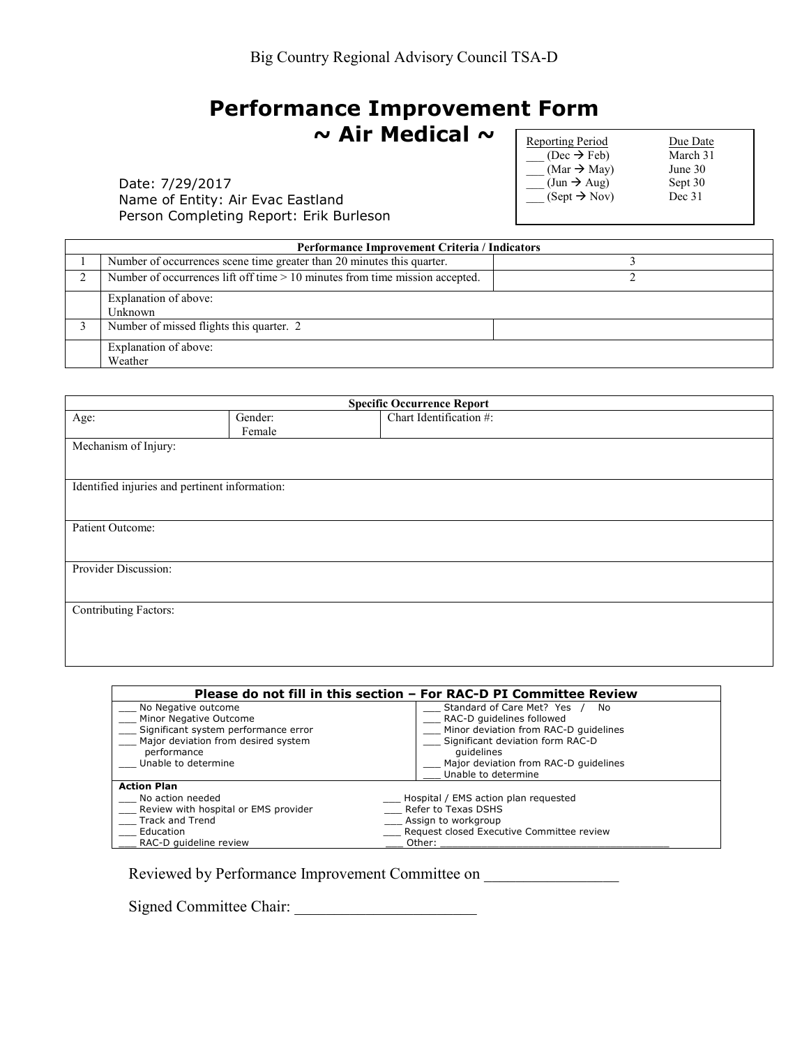## **Performance Improvement Form ~ Air Medical ~**

Date: 7/29/2017 Name of Entity: Air Evac Eastland Person Completing Report: Erik Burleson Reporting Period  $\frac{\text{Due Date}}{(\text{Dec } \rightarrow \text{Feb})}$  Due Date  $(Dec \rightarrow Feb)$  March 3<br>  $(Mar \rightarrow May)$  June 30  $\frac{1}{2}$  (Mar  $\rightarrow$  May) June 30<br>(Jun  $\rightarrow$  Aug) Sept 30  $\frac{1}{\text{Sum}}$   $\rightarrow$  Aug) Sept 30<br>  $\text{Stept} \rightarrow \text{Nov}$  Dec 31  $\overline{\phantom{a}}$  (Sept  $\rightarrow$  Nov)

| Performance Improvement Criteria / Indicators |                                                                              |  |  |
|-----------------------------------------------|------------------------------------------------------------------------------|--|--|
|                                               | Number of occurrences scene time greater than 20 minutes this quarter.       |  |  |
|                                               | Number of occurrences lift off time > 10 minutes from time mission accepted. |  |  |
|                                               | Explanation of above:<br>Unknown                                             |  |  |
|                                               | Number of missed flights this quarter. 2                                     |  |  |
|                                               | Explanation of above:<br>Weather                                             |  |  |

| <b>Specific Occurrence Report</b> |                                                |                         |  |  |  |
|-----------------------------------|------------------------------------------------|-------------------------|--|--|--|
| Age:                              | Gender:                                        | Chart Identification #: |  |  |  |
|                                   | Female                                         |                         |  |  |  |
| Mechanism of Injury:              |                                                |                         |  |  |  |
|                                   |                                                |                         |  |  |  |
|                                   |                                                |                         |  |  |  |
|                                   | Identified injuries and pertinent information: |                         |  |  |  |
|                                   |                                                |                         |  |  |  |
| Patient Outcome:                  |                                                |                         |  |  |  |
|                                   |                                                |                         |  |  |  |
|                                   |                                                |                         |  |  |  |
| Provider Discussion:              |                                                |                         |  |  |  |
|                                   |                                                |                         |  |  |  |
| <b>Contributing Factors:</b>      |                                                |                         |  |  |  |
|                                   |                                                |                         |  |  |  |
|                                   |                                                |                         |  |  |  |
|                                   |                                                |                         |  |  |  |
|                                   |                                                |                         |  |  |  |

|                                      | Please do not fill in this section – For RAC-D PI Committee Review |
|--------------------------------------|--------------------------------------------------------------------|
| No Negative outcome                  | Standard of Care Met? Yes<br>No.                                   |
| Minor Negative Outcome               | RAC-D quidelines followed                                          |
| Significant system performance error | Minor deviation from RAC-D quidelines                              |
| Major deviation from desired system  | Significant deviation form RAC-D                                   |
| performance                          | quidelines                                                         |
| Unable to determine                  | Major deviation from RAC-D quidelines                              |
|                                      | Unable to determine                                                |
| <b>Action Plan</b>                   |                                                                    |
| No action needed                     | Hospital / EMS action plan requested                               |
| Review with hospital or EMS provider | Refer to Texas DSHS                                                |
| Track and Trend                      | Assign to workgroup                                                |
| Education                            | Request closed Executive Committee review                          |
| RAC-D quideline review               | Other:                                                             |

Reviewed by Performance Improvement Committee on

Signed Committee Chair: